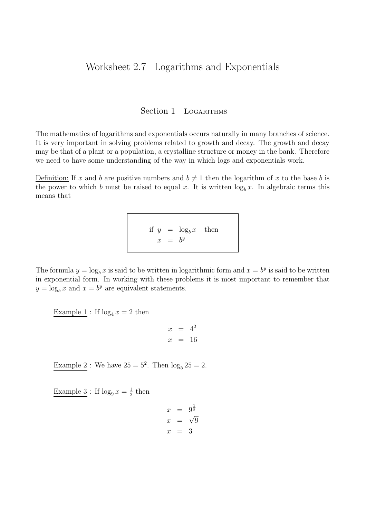#### Section 1 LOGARITHMS

The mathematics of logarithms and exponentials occurs naturally in many branches of science. It is very important in solving problems related to growth and decay. The growth and decay may be that of a plant or a population, a crystalline structure or money in the bank. Therefore we need to have some understanding of the way in which logs and exponentials work.

Definition: If x and b are positive numbers and  $b \neq 1$  then the logarithm of x to the base b is the power to which b must be raised to equal x. It is written  $\log_b x$ . In algebraic terms this means that

if 
$$
y = \log_b x
$$
 then  
 $x = b^y$ 

The formula  $y = \log_b x$  is said to be written in logarithmic form and  $x = b^y$  is said to be written in exponential form. In working with these problems it is most important to remember that  $y = \log_b x$  and  $x = b^y$  are equivalent statements.

Example 1 : If  $\log_4 x = 2$  then

$$
\begin{array}{rcl} x & = & 4^2 \\ x & = & 16 \end{array}
$$

Example 2: We have  $25 = 5^2$ . Then  $\log_5 25 = 2$ .

Example 3: If  $\log_9 x = \frac{1}{2}$  $\frac{1}{2}$  then

$$
x = 9^{\frac{1}{2}}
$$

$$
x = \sqrt{9}
$$

$$
x = 3
$$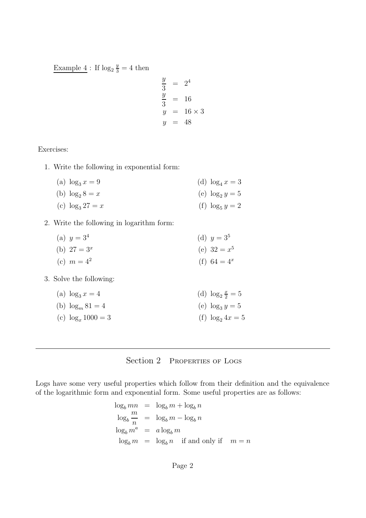Example  $\frac{4}{3}$ : If  $\log_2 \frac{y}{3} = 4$  then

$$
\frac{y}{3} = 24
$$
  

$$
\frac{y}{3} = 16
$$
  

$$
y = 16 \times 3
$$
  

$$
y = 48
$$

Exercises:

- 1. Write the following in exponential form:
	- (a)  $\log_3 x = 9$ (d)  $\log_4 x = 3$
	- (b)  $\log_2 8 = x$ (c)  $\log_3 27 = x$ (e)  $\log_2 y = 5$ (f)  $\log_5 y = 2$
- 2. Write the following in logarithm form:
	- (a)  $y = 3^4$ (b)  $27 = 3^x$ (d)  $y = 3^5$ (e)  $32 = x^5$
	- (c)  $m = 4^2$ (f)  $64 = 4^x$
- 3. Solve the following:
	- (a)  $\log_3 x = 4$ (b)  $\log_m 81 = 4$ (d)  $\log_2 \frac{x}{2} = 5$ (e)  $\log_3 y = 5$
	- (c)  $\log_x 1000 = 3$ (f)  $\log_2 4x = 5$

#### Section 2 PROPERTIES OF LOGS

Logs have some very useful properties which follow from their definition and the equivalence of the logarithmic form and exponential form. Some useful properties are as follows:

> $\log_b mn = \log_b m + \log_b n$  $\log_b$ m  $\frac{m}{n} = \log_b m - \log_b n$  $\log_b m^a = a \log_b m$  $\log_b m = \log_b n$  if and only if  $m = n$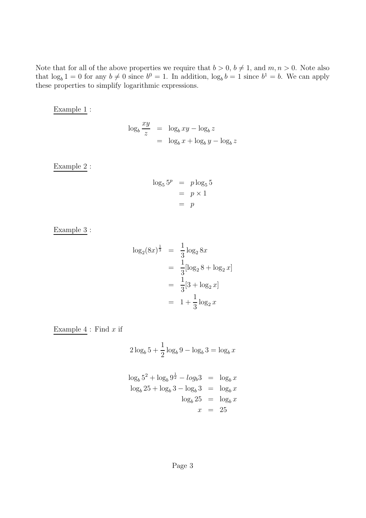Note that for all of the above properties we require that  $b > 0$ ,  $b \neq 1$ , and  $m, n > 0$ . Note also that  $\log_b 1 = 0$  for any  $b \neq 0$  since  $b^0 = 1$ . In addition,  $\log_b b = 1$  since  $b^1 = b$ . We can apply these properties to simplify logarithmic expressions.

Example 1 :

$$
\log_b \frac{xy}{z} = \log_b xy - \log_b z
$$

$$
= \log_b x + \log_b y - \log_b z
$$

Example 2 :

$$
\log_5 5^p = p \log_5 5
$$
  
=  $p \times 1$   
=  $p$ 

Example 3 :

$$
\log_2(8x)^{\frac{1}{3}} = \frac{1}{3}\log_2 8x
$$
  
=  $\frac{1}{3}[\log_2 8 + \log_2 x]$   
=  $\frac{1}{3}[3 + \log_2 x]$   
=  $1 + \frac{1}{3}\log_2 x$ 

Example  $4:$  Find  $x$  if

$$
2\log_b 5 + \frac{1}{2}\log_b 9 - \log_b 3 = \log_b x
$$

$$
\log_b 5^2 + \log_b 9^{\frac{1}{2}} - \log_b 3 = \log_b x
$$
  

$$
\log_b 25 + \log_b 3 - \log_b 3 = \log_b x
$$
  

$$
\log_b 25 = \log_b x
$$
  

$$
x = 25
$$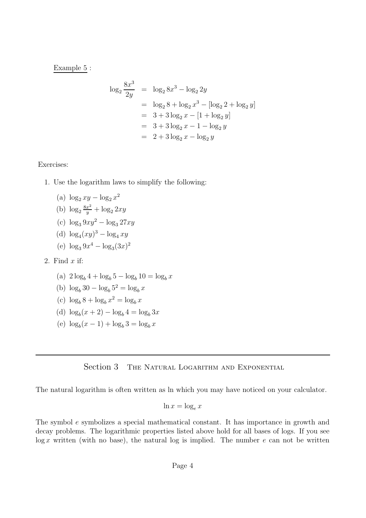Example 5 :

$$
\log_2 \frac{8x^3}{2y} = \log_2 8x^3 - \log_2 2y
$$
  
=  $\log_2 8 + \log_2 x^3 - [\log_2 2 + \log_2 y]$   
=  $3 + 3 \log_2 x - [1 + \log_2 y]$   
=  $3 + 3 \log_2 x - 1 - \log_2 y$   
=  $2 + 3 \log_2 x - \log_2 y$ 

Exercises:

1. Use the logarithm laws to simplify the following:

(a) 
$$
\log_2 xy - \log_2 x^2
$$
  
\n(b)  $\log_2 \frac{8x^2}{y} + \log_2 2xy$   
\n(c)  $\log_3 9xy^2 - \log_3 27xy$   
\n(d)  $\log_4 (xy)^3 - \log_4 xy$ 

(e)  $\log_3 9x^4 - \log_3 (3x)^2$ 

2. Find  $x$  if:

- (a)  $2 \log_b 4 + \log_b 5 \log_b 10 = \log_b x$
- (b)  $\log_b 30 \log_b 5^2 = \log_b x$
- (c)  $\log_b 8 + \log_b x^2 = \log_b x$
- (d)  $\log_b(x+2) \log_b 4 = \log_b 3x$
- (e)  $\log_b(x-1) + \log_b 3 = \log_b x$

Section 3 THE NATURAL LOGARITHM AND EXPONENTIAL

The natural logarithm is often written as ln which you may have noticed on your calculator.

$$
\ln x = \log_e x
$$

The symbol e symbolizes a special mathematical constant. It has importance in growth and decay problems. The logarithmic properties listed above hold for all bases of logs. If you see  $\log x$  written (with no base), the natural log is implied. The number e can not be written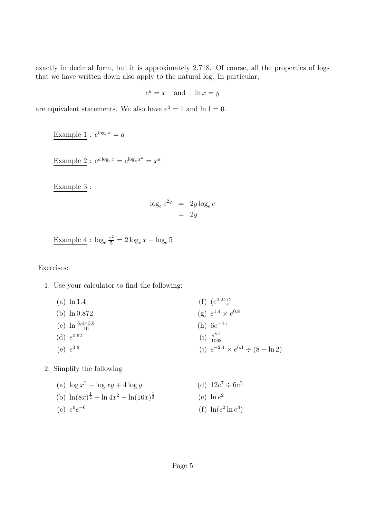exactly in decimal form, but it is approximately 2.718. Of course, all the properties of logs that we have written down also apply to the natural log. In particular,

$$
e^y = x \quad \text{and} \quad \ln x = y
$$

are equivalent statements. We also have  $e^0 = 1$  and  $\ln 1 = 0$ .

Example 1 :  $e^{\log_e a} = a$ 

Example 2 :  $e^{a \log_e x} = e^{\log_e x^a} = x^a$ 

Example 3 :

$$
\log_e e^{2y} = 2y \log_e e
$$

$$
= 2y
$$

<u>Example 4</u> :  $\log_e \frac{x^2}{5} = 2 \log_e x - \log_e 5$ 

Exercises:

- 1. Use your calculator to find the following:
	- (a) ln 1.4 (b) ln 0.872 (c)  $\ln \frac{6.4 \times 3.8}{10}$ (d)  $e^{0.62}$ (e)  $e^{3.8}$ (f)  $(e^{0.24})^2$ (g)  $e^{1.4} \times e^{0.8}$ (h)  $6e^{-4.1}$  $(i) \frac{e^{8.2}}{1068}$ 1068 (j)  $e^{-2.4} \times e^{6.1} \div (8 + \ln 2)$

2. Simplify the following

(a) 
$$
\log x^2 - \log xy + 4 \log y
$$
  
\n(b)  $\ln(8x)^{\frac{1}{2}} + \ln 4x^2 - \ln(16x)^{\frac{1}{2}}$   
\n(c)  $e^6 e^{-6}$   
\n(d)  $12e^7 \div 6e^2$   
\n(e)  $\ln e^2$   
\n(f)  $\ln(e^2 \ln e^3)$ 

$$
f_{\rm{max}}
$$

Page 5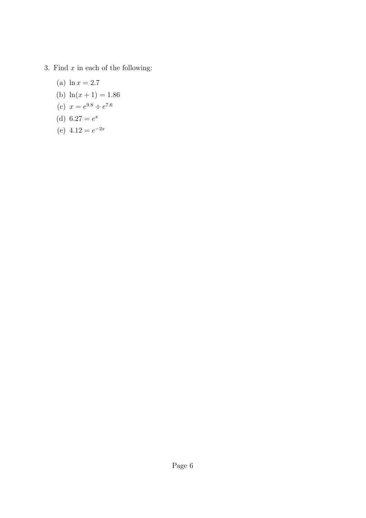- 3. Find  $x$  in each of the following:
	- (a)  $\ln x = 2.7$
	- (b)  $\ln(x + 1) = 1.86$
	- (c)  $x = e^{9.8} \div e^{7.6}$
	- (d)  $6.27 = e^x$
	- (e)  $4.12 = e^{-2x}$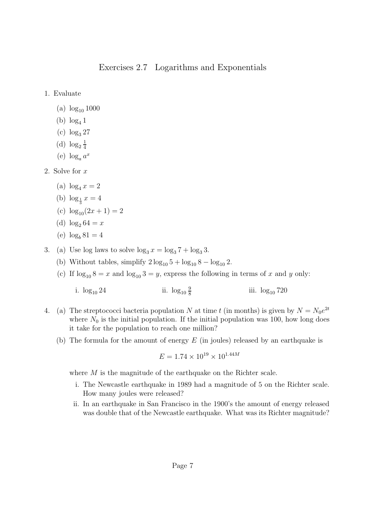### Exercises 2.7 Logarithms and Exponentials

1. Evaluate

- (a)  $log_{10} 1000$
- (b)  $log_4 1$
- (c)  $\log_3 27$
- (d)  $\log_2 \frac{1}{4}$ 4
- (e)  $\log_a a^x$
- 2. Solve for x
	- (a)  $\log_4 x = 2$
	- (b)  $\log_{\frac{1}{3}} x = 4$
	- (c)  $\log_{10}(2x+1) = 2$
	- (d)  $\log_2 64 = x$
	- (e)  $\log_b 81 = 4$
- 3. (a) Use log laws to solve  $\log_3 x = \log_3 7 + \log_3 3$ .
	- (b) Without tables, simplify  $2 \log_{10} 5 + \log_{10} 8 \log_{10} 2$ .
	- (c) If  $\log_{10} 8 = x$  and  $\log_{10} 3 = y$ , express the following in terms of x and y only:
		- i.  $\log_{10} 24$ 9 8 iii.  $\log_{10} 720$
- 4. (a) The streptococci bacteria population N at time t (in months) is given by  $N = N_0 e^{2t}$ where  $N_0$  is the initial population. If the initial population was 100, how long does it take for the population to reach one million?
	- (b) The formula for the amount of energy  $E$  (in joules) released by an earthquake is

$$
E = 1.74 \times 10^{19} \times 10^{1.44M}
$$

where M is the magnitude of the earthquake on the Richter scale.

- i. The Newcastle earthquake in 1989 had a magnitude of 5 on the Richter scale. How many joules were released?
- ii. In an earthquake in San Francisco in the 1900's the amount of energy released was double that of the Newcastle earthquake. What was its Richter magnitude?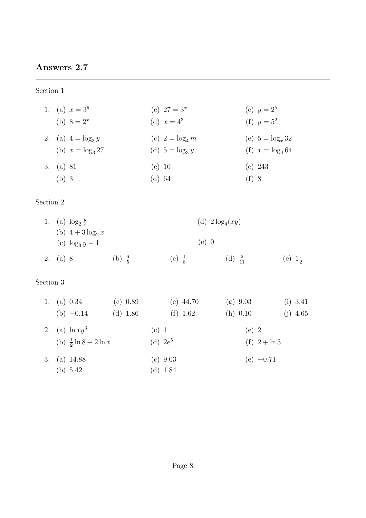# Answers 2.7

#### Section 1

| 1. (a) $x = 3^9$      | (c) $27 = 3^x$     | (e) $y = 2^5$         |
|-----------------------|--------------------|-----------------------|
| (b) $8 = 2^x$         | (d) $x = 4^3$      | (f) $y = 5^2$         |
| 2. (a) $4 = \log_3 y$ | (c) $2 = \log_4 m$ | (e) $5 = \log_{x} 32$ |
| (b) $x = \log_3 27$   | (d) $5 = \log_3 y$ | (f) $x = \log_4 64$   |
| 3. (a) $81$           | (c) 10             | (e) $243$             |
| $(b)$ 3               | (d) 64             | $(f)$ 8               |

## Section 2

| 1. (a) $\log_2 \frac{y}{x}$ |                   |                   | (d) $2\log_4(xy)$ |                    |                    |  |
|-----------------------------|-------------------|-------------------|-------------------|--------------------|--------------------|--|
| (b) $4 + 3\log_2 x$         |                   |                   |                   |                    |                    |  |
| (c) $\log_3 y - 1$          |                   |                   | $(e)$ 0           |                    |                    |  |
| 2. (a) 8                    | (b) $\frac{6}{5}$ | $(c) \frac{1}{8}$ |                   | (d) $\frac{2}{11}$ | (e) $1\frac{1}{2}$ |  |

## Section 3

| 1. (a) $0.34$ |                                   | (c) 0.89 |            |            | (e) 44.70 | $(g)$ 9.03      | (i) 3.41   |
|---------------|-----------------------------------|----------|------------|------------|-----------|-----------------|------------|
|               | (b) $-0.14$                       |          | $(d)$ 1.86 |            | (f) 1.62  | $(h)$ 0.10      | $(j)$ 4.65 |
|               | 2. (a) $\ln xy^3$                 |          |            | $(c)$ 1    |           | $(e)$ 2         |            |
|               | (b) $\frac{1}{2} \ln 8 + 2 \ln x$ |          |            | (d) $2e^5$ |           | (f) $2 + \ln 3$ |            |
|               | 3. (a) $14.88$                    |          |            | (c) 9.03   |           | $(e) -0.71$     |            |
| (b) $5.42$    |                                   |          |            | (d) $1.84$ |           |                 |            |